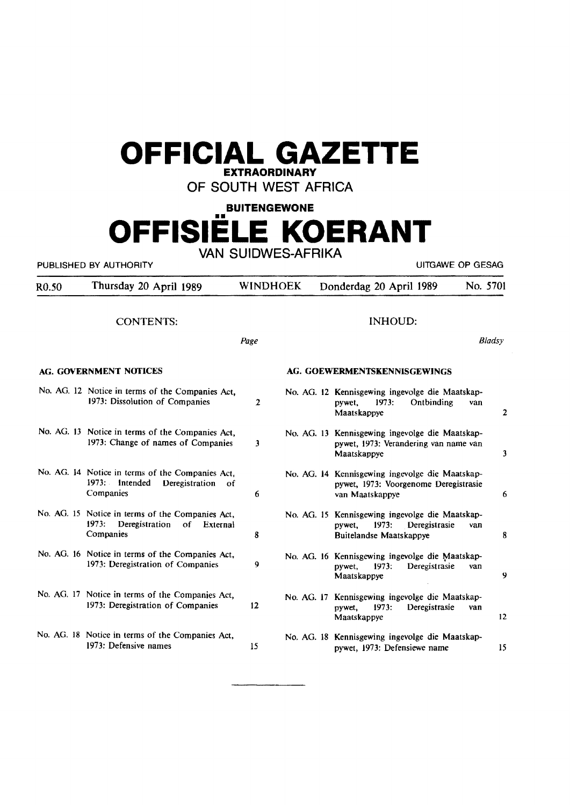# **OFFICIAL GAZETTE**

## **EXTRAORDINARY**

OF SOUTH WEST AFRICA

### **BUITENGEWONE**

## **OFFISIELE KOERANT**  VAN SUIDWES-AFRIKA

PUBLISHED BY AUTHORITY **EXECUTE A SECURE 2018 THE SECOND SECOND SECOND SECOND SECOND SECOND SECOND SECOND SECOND SECOND SECOND SECOND SECOND SECOND SECOND SECOND SECOND SECOND SECOND SECOND SECOND SECOND SECOND SECOND SECO** 

| R <sub>0.50</sub> | Thursday 20 April 1989                                                                                     | <b>WINDHOEK</b> | Donderdag 20 April 1989                                                                                               | No. 5701            |
|-------------------|------------------------------------------------------------------------------------------------------------|-----------------|-----------------------------------------------------------------------------------------------------------------------|---------------------|
|                   | <b>CONTENTS:</b>                                                                                           |                 | <b>INHOUD:</b>                                                                                                        |                     |
|                   |                                                                                                            | Page            |                                                                                                                       | Bladsy              |
|                   | <b>AG. GOVERNMENT NOTICES</b>                                                                              |                 | AG. GOEWERMENTSKENNISGEWINGS                                                                                          |                     |
|                   | No. AG. 12 Notice in terms of the Companies Act,<br>1973: Dissolution of Companies                         | $\overline{2}$  | No. AG. 12 Kennisgewing ingevolge die Maatskap-<br>Ontbinding<br>1973:<br>pywet,<br>Maatskappye                       | van<br>$\mathbf{2}$ |
|                   | No. AG. 13 Notice in terms of the Companies Act,<br>1973: Change of names of Companies                     | 3               | No. AG. 13 Kennisgewing ingevolge die Maatskap-<br>pywet, 1973: Verandering van name van<br>Maatskappye               | 3                   |
|                   | No. AG. 14 Notice in terms of the Companies Act,<br>1973: Intended<br>Deregistration<br>οf<br>Companies    | 6               | No. AG. 14 Kennisgewing ingevolge die Maatskap-<br>pywet, 1973: Voorgenome Deregistrasie<br>van Maatskappye           | 6                   |
|                   | No. AG. 15 Notice in terms of the Companies Act,<br>1973:<br>Deregistration<br>оf<br>External<br>Companies | 8               | No. AG. 15 Kennisgewing ingevolge die Maatskap-<br>1973:<br>Deregistrasie<br>pywet.<br><b>Buitelandse Maatskappye</b> | van<br>8            |
|                   | No. AG. 16 Notice in terms of the Companies Act,<br>1973: Deregistration of Companies                      | 9               | No. AG. 16 Kennisgewing ingevolge die Maatskap-<br>1973:<br>Deregistrasie<br>pywet,<br>Maatskappye                    | van<br>9            |
|                   | No. AG. 17 Notice in terms of the Companies Act,<br>1973: Deregistration of Companies                      | 12              | No. AG. 17 Kennisgewing ingevolge die Maatskap-<br>1973:<br>Deregistrasie<br>pywet,<br>Maatskappye                    | van<br>12           |
|                   | No. AG. 18 Notice in terms of the Companies Act,<br>1973: Defensive names                                  | 15              | No. AG. 18 Kennisgewing ingevolge die Maatskap-<br>pywet, 1973: Defensiewe name                                       | 15                  |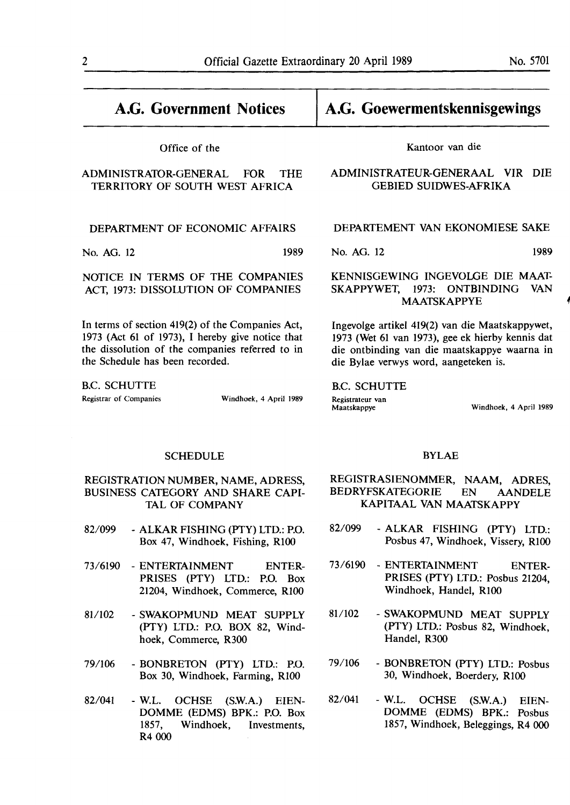# **A.G. Government Notices**  Office of the ADMINISTRATOR-GENERAL FOR THE TERRIIDRY OF SOUTH WEST AFRICA DEPARTMENT OF ECONOMIC AFFAIRS No. AG. 12 1989

NOTICE IN TERMS OF THE COMPANIES ACT, 1973: DISSOLUTION OF **COMPANIES** 

In terms of section 419(2) of the Companies Act, 1973 (Act 61 of 1973), I hereby give notice that the dissolution of the companies referred to in the Schedule has been recorded.

B.C. SCHUTTE Registrar of Companies Windhoek, 4 April 1989

### **A.G. Goewermentskennisgewings**

Kantoor van die

#### ADMINISTRATEUR-GENERAAL VIR DIE GEBIED SUIDWES-AFRIKA

#### DEPARTEMENT VAN EKONOMIESE SAKE

No. AG. 12 1989

#### KENNISGEWING INGEVOLGE DIE MAAT-SKAPPYWET, 1973: ONTBINDING VAN MAATSKAPPYE *4*

lngevolge artikel 419(2) van die Maatskappywet, 1973 (Wet 61 van 1973), gee ek hierby kennis dat die ontbinding van die maatskappye waarna in die Bylae verwys word, aangeteken is.

B.C. SCHUTTE Registrateur van<br>Maatskappye

Windhoek, 4 April 1989

#### SCHEDULE

#### REGISTRATION NUMBER, NAME, ADRESS, BUSINESS CATEGORY AND SHARE CAPI-TAL OF COMPANY

- 82/099 ALKAR FISHING (PTY) LTD.: P.O. Box 47, Windhoek, Fishing, RlOO
- 73/6190 ENTERTAINMENT ENTER-PRISES (PTY) LTD.: P.O. Box 21204, Windhoek, Commerce, RlO0
- 81/102 SWAKOPMUND MEAT SUPPLY (PTY) LTD.: P.O. BOX 82, Windhoek, Commerce, R300
- 79/106 BONBREIDN (PTY) LTD.: P.O. Box 30, Windhoek, Farming, RlO0
- 82/041 W.L. OCHSE (S.W.A.) EIEN-DOMME (EDMS) BPK.: P.O. Box 1857, Windhoek, Investments, R4 000

#### BYLAE

- REGISTRASIENOMMER, NAAM, ADRES, BEDRYFSKATEGORIE EN AANDELE KAPITAAL VAN MAATSKAPPY
- 82/099 ALKAR FISHING (PTY) LTD.: Posbus 47, Windhoek, Vissery, RlOO
- 73/6190 ENTERTAINMENT ENTER-PRISES (PTY) LTD.: Posbus 21204, Windhoek, Handel, RlOO
- 81/102 SWAKOPMUND MEAT SUPPLY (PTY) LTD.: Posbus 82, Windhoek, Handel, R300
- 79/106 BONBREIDN (PTY) LTD.: Posbus 30, Windhoek, Boerdery, RlOO
- 82/041 W.L. OCHSE (S.W.A.) EIEN-DOMME (EDMS) BPK.: Posbus 1857, Windhoek, Beleggings, R4 000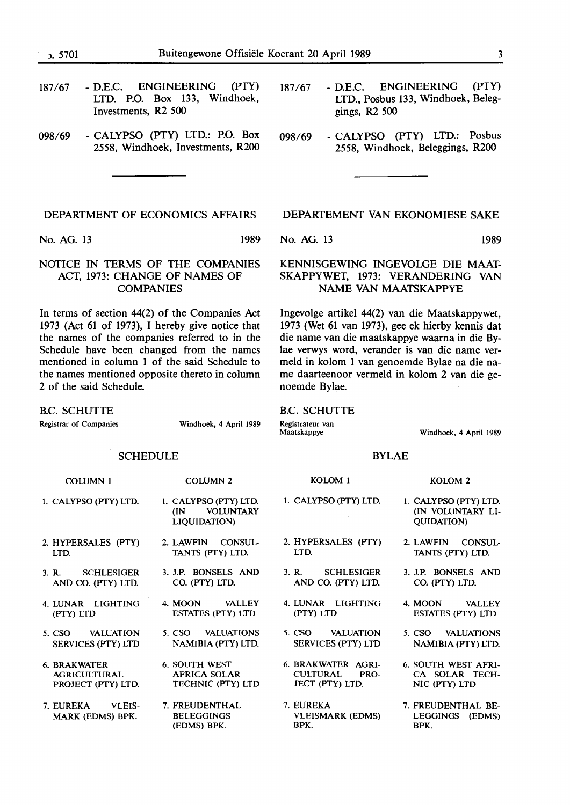| <sub>0</sub> .5701 | Buitengewone Offisiële Koerant 20 April 1989                                                        |                                                                                                     |       |  |
|--------------------|-----------------------------------------------------------------------------------------------------|-----------------------------------------------------------------------------------------------------|-------|--|
| 187/67             | ENGINEERING<br>(PTY)<br>- D.E.C.<br>LTD. P.O. Box 133, Windhoek,<br>Investments, R <sub>2</sub> 500 | - D.E.C. ENGINEERING<br>187/67<br>LTD., Posbus 133, Windhoek, Beleg-<br>gings, $R2$ 500             | (PTY) |  |
| 098/69             | - CALYPSO (PTY) LTD.: P.O. Box<br>2558, Windhoek, Investments, R200                                 | - CALYPSO (PTY) LTD.: Posbus<br>098/69<br>2558, Windhoek, Beleggings, R200                          |       |  |
|                    |                                                                                                     |                                                                                                     |       |  |
|                    | DEPARTMENT OF ECONOMICS AFFAIRS                                                                     | DEPARTEMENT VAN EKONOMIESE SAKE                                                                     |       |  |
| No. AG. 13         | 1989                                                                                                | No. AG. 13                                                                                          | 1989  |  |
|                    | NOTICE IN TERMS OF THE COMPANIES<br>ACT, 1973: CHANGE OF NAMES OF<br><b>COMPANIES</b>               | KENNISGEWING INGEVOLGE DIE MAAT-<br>SKAPPYWET, 1973: VERANDERING VAN<br><b>NAME VAN MAATSKAPPYE</b> |       |  |

In terms of section 44(2) of the Companies Act 1973 (Act 61 of 1973), I hereby give notice that the names of the companies referred to in the Schedule have been changed from the names mentioned in column 1 of the said Schedule to the names mentioned opposite thereto in column 2 of the said Schedule.

B.C. SCHUTTE

Registrar of Companies **Windhoek, 4 April 1989** 

**SCHEDULE COWMN** I 1. **CALYPSO (PIY) LTD. COWMN2 1. CALYPSO (PTY) LTD. (IN VOWNTARY KOLOM**<sub>1</sub> I. **CALYPSO (PTY) LTD.** 

- **2. HYPERSALES (PIY) LTD.**
- **3. R. SCHLESIGER AND** CO. **(PTY)** LTD.
- 4. LUNAR LIGHTING (PTY) LTD
- 5. CSO VALUATION SERVICES (PTY) LTD
- 6. BRAKWATER AGRICULTURAL PROJECT (PTY) LTD.
- 7. EUREKA VLEIS-MARK (EDMS) BPK.
- **LIQUIDATION)**
- **2. LAWFIN CONSUL-TANTS (PTY) LTD.**
- **3. J.P. BONSELS AND**  CO. (PIY) LTD.
- 4. MOON VALLEY ESTATES (PTY) LTD
	- 5. CSO VALUATIONS **NAMIBIA** (PTY) LTD.
- 6. SOUTH WEST AFRICA SOLAR TECHNIC (PTY) LTD
- 7. FREUDENTHAL **BELEGGINGS** (EDMS) BPK.

# **NAME VAN MAATSKAPPYE**

Ingevolge artikel 44(2) van die Maatskappywet, 1973 (Wet 61 van 1973), gee ek hierby kennis dat die name van die maatskappye waarna in die Bylae verwys word, verander is van die name vermeld in kolom 1 van genoemde Bylae na die name daarteenoor vermeld in kolom 2 van die genoemde Bylae.

#### B.C. SCHUTTE

**Registrateur van** 

**Windhoek, 4 April 1989** 

#### **BYLAE**

#### **2. HYPERSALES (PIY) LTD. 3. R. SCHLESIGER AND** CO. **(PTY)** LTD. 4. LUNAR LIGHTING (PTY) LTD 5. CSO VALUATION SERVICES (PTY) LTD 6. BRAKWATER AGRI-CULTURAL PRO-JECT (PTY) LTD. I. **CALYPSO (PIY) LTD. (IN VOLUNTARY LI-QUIDATION) 2. LAWFIN CONSUL-TANTS (PTY) LTD. 3. J.P. BONSELS AND**  CO. (PIY) LTD. 4. MOON VALLEY ESTATES (PTY) LTD 5. CSO VALUATIONS **NAMIBIA** (PTY) LTD.

- 7. EUREKA VLEISMARK (EDMS) BPK.
- 
- 6. SOUTH WEST AFRI-CA SOLAR TECH-NIC (PTY) LTD
- 7. FREUDENTHAL BE-LEGGINGS (EDMS) BPK.

**KOLOM 2**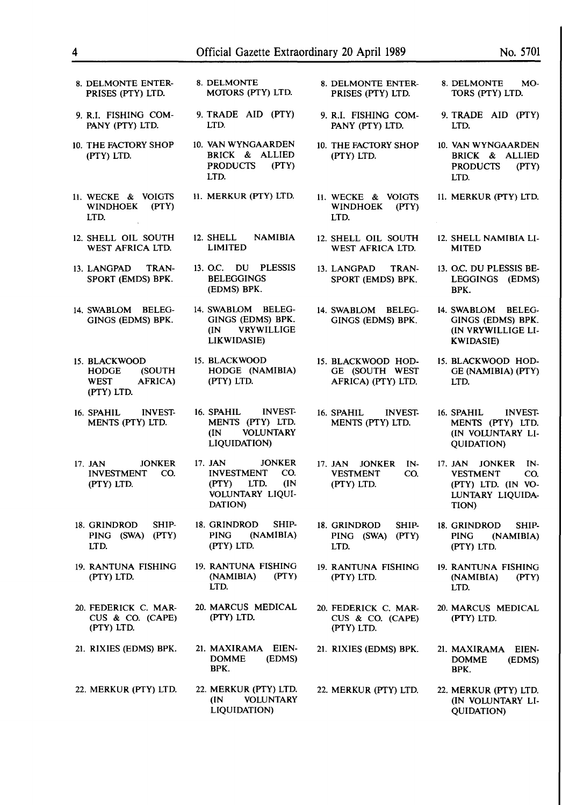| 8. DELMONTE ENTER-<br>PRISES (PTY) LTD.                                         | 8. DELMONTE<br>MOTORS (PTY) LTD.                                                                                    | 8. DELMONTE ENTER-<br>PRISES (PTY) LTD.                                 | 8. DELMONTE<br>MO-<br>TORS (PTY) LTD.                                                                          |
|---------------------------------------------------------------------------------|---------------------------------------------------------------------------------------------------------------------|-------------------------------------------------------------------------|----------------------------------------------------------------------------------------------------------------|
| 9. R.I. FISHING COM-<br>PANY (PTY) LTD.                                         | 9. TRADE AID (PTY)<br>LTD.                                                                                          | 9. R.I. FISHING COM-<br>PANY (PTY) LTD.                                 | 9. TRADE AID (PTY)<br>LTD.                                                                                     |
| 10. THE FACTORY SHOP<br>(PTY) LTD.                                              | 10. VAN WYNGAARDEN<br>BRICK & ALLIED<br><b>PRODUCTS</b><br>(PTY)<br>LTD.                                            | 10. THE FACTORY SHOP<br>(PTY) LTD.                                      | 10. VAN WYNGAARDEN<br>BRICK & ALLIED<br><b>PRODUCTS</b><br>(PTY)<br>LTD.                                       |
| 11. WECKE & VOIGTS<br>(PTY)<br><b>WINDHOEK</b><br>LTD.                          | 11. MERKUR (PTY) LTD.                                                                                               | 11. WECKE & VOIGTS<br>(PTY)<br><b>WINDHOEK</b><br>LTD.                  | 11. MERKUR (PTY) LTD.                                                                                          |
| 12. SHELL OIL SOUTH<br>WEST AFRICA LTD.                                         | 12. SHELL<br><b>NAMIBIA</b><br>LIMITED                                                                              | 12. SHELL OIL SOUTH<br>WEST AFRICA LTD.                                 | 12. SHELL NAMIBIA LI-<br><b>MITED</b>                                                                          |
| 13. LANGPAD<br>TRAN-<br>SPORT (EMDS) BPK.                                       | 13. O.C. DU<br>PLESSIS<br><b>BELEGGINGS</b><br>(EDMS) BPK.                                                          | 13. LANGPAD<br>TRAN-<br>SPORT (EMDS) BPK.                               | 13. O.C. DU PLESSIS BE-<br>LEGGINGS (EDMS)<br>BPK.                                                             |
| 14. SWABLOM BELEG-<br>GINGS (EDMS) BPK.                                         | 14. SWABLOM BELEG-<br>GINGS (EDMS) BPK.<br><b>VRYWILLIGE</b><br>(IN)<br>LIKWIDASIE)                                 | 14. SWABLOM BELEG-<br>GINGS (EDMS) BPK.                                 | 14. SWABLOM BELEG-<br>GINGS (EDMS) BPK.<br>(IN VRYWILLIGE LI-<br><b>KWIDASIE)</b>                              |
| 15. BLACKWOOD<br>(SOUTH<br><b>HODGE</b><br><b>WEST</b><br>AFRICA)<br>(PTY) LTD. | 15. BLACKWOOD<br>HODGE (NAMIBIA)<br>(PTY) LTD.                                                                      | 15. BLACKWOOD HOD-<br>GE (SOUTH WEST<br>AFRICA) (PTY) LTD.              | 15. BLACKWOOD HOD-<br>GE (NAMIBIA) (PTY)<br>LTD.                                                               |
| <b>INVEST-</b><br>16. SPAHIL<br>MENTS (PTY) LTD.                                | <b>INVEST-</b><br>16. SPAHIL<br>MENTS (PTY) LTD.<br><b>VOLUNTARY</b><br>(IN)<br>LIQUIDATION)                        | 16. SPAHIL<br><b>INVEST-</b><br>MENTS (PTY) LTD.                        | 16. SPAHIL<br><b>INVEST-</b><br>MENTS (PTY) LTD.<br>(IN VOLUNTARY LI-<br><b>QUIDATION)</b>                     |
| <b>JONKER</b><br>17. JAN<br><b>INVESTMENT</b><br>CO.<br>(PTY) LTD.              | 17. JAN<br><b>JONKER</b><br><b>INVESTMENT</b><br>CO.<br>(PTY)<br>LTD.<br>(IN)<br><b>VOLUNTARY LIQUI-</b><br>DATION) | <b>JONKER</b><br>17. JAN<br>IN-<br><b>VESTMENT</b><br>CO.<br>(PTY) LTD. | 17. JAN<br><b>JONKER</b><br>$IN-$<br><b>VESTMENT</b><br>CO.<br>(PTY) LTD. (IN VO-<br>LUNTARY LIQUIDA-<br>TION) |
| 18. GRINDROD<br>SHIP-<br>(PTY)<br>PING (SWA)<br>LTD.                            | 18. GRINDROD<br>SHIP-<br>(NAMIBIA)<br><b>PING</b><br>(PTY) LTD.                                                     | 18. GRINDROD<br>SHIP-<br>PING (SWA)<br>(PTY)<br>LTD.                    | 18. GRINDROD<br>SHIP-<br><b>PING</b><br>(NAMIBIA)<br>(PTY) LTD.                                                |
| 19. RANTUNA FISHING<br>(PTY) LTD.                                               | 19. RANTUNA FISHING<br>(PTY)<br>(NAMIBIA)<br>LTD.                                                                   | 19. RANTUNA FISHING<br>(PTY) LTD.                                       | 19. RANTUNA FISHING<br>(NAMIBIA)<br>(PTY)<br>LTD.                                                              |
| 20. FEDERICK C. MAR-<br>CUS & CO. $(CAPE)$<br>(PTY) LTD.                        | 20. MARCUS MEDICAL<br>(PTY) LTD.                                                                                    | 20. FEDERICK C. MAR-<br>CUS & CO. (CAPE)<br>(PTY) LTD.                  | 20. MARCUS MEDICAL<br>(PTY) LTD.                                                                               |
| 21. RIXIES (EDMS) BPK.                                                          | 21. MAXIRAMA EIEN-<br><b>DOMME</b><br>(EDMS)<br>BPK.                                                                | 21. RIXIES (EDMS) BPK.                                                  | 21. MAXIRAMA<br>EIEN-<br><b>DOMME</b><br>(EDMS)<br>BPK.                                                        |
| 22. MERKUR (PTY) LTD.                                                           | 22. MERKUR (PTY) LTD.<br>(IN)<br><b>VOLUNTARY</b><br>LIQUIDATION)                                                   | 22. MERKUR (PTY) LTD.                                                   | 22. MERKUR (PTY) LTD.<br>(IN VOLUNTARY LI-<br><b>QUIDATION)</b>                                                |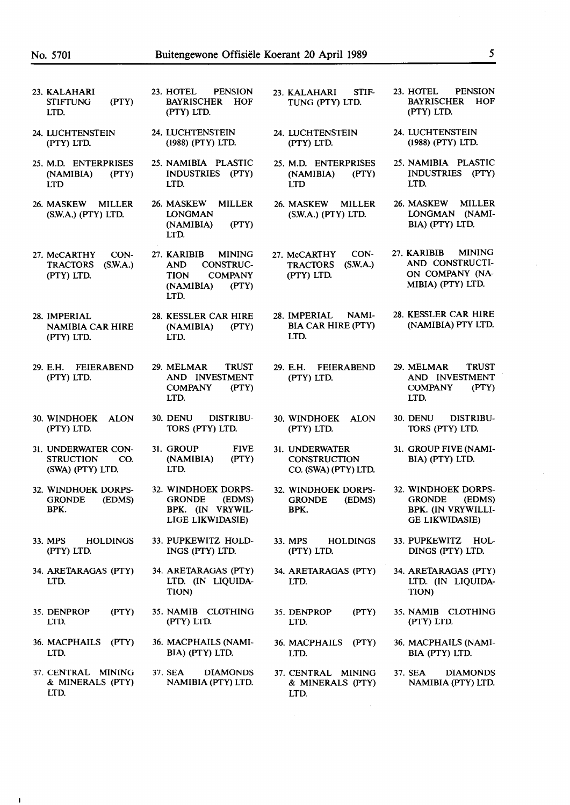$\mathbf{I}$ 

| 23. KALAHARI<br><b>STIFTUNG</b><br>LTD.       | (PTY)                                          | 23. HOTEL<br><b>PENSION</b><br><b>BAYRISCHER</b><br><b>HOF</b><br>(PTY) LTD.                                                  | STIF-<br>23. KALAHARI<br>TUNG (PTY) LTD.                          | <b>PENSION</b><br>23. HOTEL<br><b>BAYRISCHER</b><br>HOF<br>(PTY) LTD.                         |
|-----------------------------------------------|------------------------------------------------|-------------------------------------------------------------------------------------------------------------------------------|-------------------------------------------------------------------|-----------------------------------------------------------------------------------------------|
| 24. LUCHTENSTEIN<br>(PTY) LTD.                |                                                | 24. LUCHTENSTEIN<br>(1988) (PTY) LTD.                                                                                         | 24. LUCHTENSTEIN<br>(PTY) LTD.                                    | 24. LUCHTENSTEIN<br>(1988) (PTY) LTD.                                                         |
| (NAMIBIA)<br><b>LTD</b>                       | 25. M.D. ENTERPRISES<br>(PTY)                  | 25. NAMIBIA PLASTIC<br>INDUSTRIES (PTY)<br>LTD.                                                                               | 25. M.D. ENTERPRISES<br>(PTY)<br>(NAMIBIA)<br><b>LTD</b>          | 25. NAMIBIA PLASTIC<br><b>INDUSTRIES</b><br>(PTY)<br>LTD.                                     |
| 26. MASKEW                                    | <b>MILLER</b><br>(S.W.A.) (PTY) LTD.           | 26. MASKEW<br><b>MILLER</b><br>LONGMAN<br>(NAMIBIA)<br>(PTY)<br>LTD.                                                          | 26. MASKEW<br><b>MILLER</b><br>(S.W.A.) (PTY) LTD.                | 26. MASKEW<br><b>MILLER</b><br>LONGMAN (NAMI-<br>BIA) (PTY) LTD.                              |
| 27. McCARTHY<br><b>TRACTORS</b><br>(PTY) LTD. | CON-<br>(S.W.A.)                               | 27. KARIBIB<br><b>MINING</b><br><b>CONSTRUC-</b><br><b>AND</b><br><b>TION</b><br><b>COMPANY</b><br>(NAMIBIA)<br>(PTY)<br>LTD. | CON-<br>27. McCARTHY<br>(S.W.A.)<br><b>TRACTORS</b><br>(PTY) LTD. | <b>MINING</b><br>27. KARIBIB<br>AND CONSTRUCTI-<br>ON COMPANY (NA-<br>MIBIA) (PTY) LTD.       |
| 28. IMPERIAL<br>(PTY) LTD.                    | <b>NAMIBIA CAR HIRE</b>                        | 28. KESSLER CAR HIRE<br>(NAMIBIA)<br>(PTY)<br>LTD.                                                                            | NAMI-<br>28. IMPERIAL<br><b>BIA CAR HIRE (PTY)</b><br>LTD.        | 28. KESSLER CAR HIRE<br>(NAMIBIA) PTY LTD.                                                    |
| 29. E.H.<br>(PTY) LTD.                        | <b>FEIERABEND</b>                              | 29. MELMAR<br><b>TRUST</b><br>AND INVESTMENT<br><b>COMPANY</b><br>(PTY)<br>LTD.                                               | 29. E.H.<br><b>FEIERABEND</b><br>(PTY) LTD.                       | 29. MELMAR<br><b>TRUST</b><br>AND INVESTMENT<br><b>COMPANY</b><br>(PTY)<br>LTD.               |
| 30. WINDHOEK<br>(PTY) LTD.                    | <b>ALON</b>                                    | 30. DENU<br>DISTRIBU-<br>TORS (PTY) LTD.                                                                                      | 30. WINDHOEK<br><b>ALON</b><br>(PTY) LTD.                         | DISTRIBU-<br>30. DENU<br>TORS (PTY) LTD.                                                      |
| <b>STRUCTION</b>                              | 31. UNDERWATER CON-<br>CO.<br>(SWA) (PTY) LTD. | 31. GROUP<br><b>FIVE</b><br>(NAMIBIA)<br>(PTY)<br>LTD.                                                                        | 31. UNDERWATER<br><b>CONSTRUCTION</b><br>CO. (SWA) (PTY) LTD.     | 31. GROUP FIVE (NAMI-<br>BIA) (PTY) LTD.                                                      |
| <b>GRONDE</b><br>BPK.                         | 32. WINDHOEK DORPS-<br>(EDMS)                  | 32. WINDHOEK DORPS-<br><b>GRONDE</b><br>(EDMS)<br>BPK. (IN VRYWIL-<br>LIGE LIKWIDASIE)                                        | 32. WINDHOEK DORPS-<br><b>GRONDE</b><br>(EDMS)<br>BPK.            | 32. WINDHOEK DORPS-<br>(EDMS)<br><b>GRONDE</b><br>BPK. (IN VRYWILLI-<br><b>GE LIKWIDASIE)</b> |
| 33. MPS<br>(PTY) LTD.                         | <b>HOLDINGS</b>                                | 33. PUPKEWITZ HOLD-<br>INGS (PTY) LTD.                                                                                        | 33. MPS<br><b>HOLDINGS</b><br>(PTY) LTD.                          | 33. PUPKEWITZ<br>HOL-<br>DINGS (PTY) LTD.                                                     |
| LTD.                                          | 34. ARETARAGAS (PTY)                           | 34. ARETARAGAS (PTY)<br>LTD. (IN LIQUIDA-<br>TION)                                                                            | 34. ARETARAGAS (PTY)<br>LTD.                                      | 34. ARETARAGAS (PTY)<br>LTD. (IN LIQUIDA-<br>TION)                                            |
| 35. DENPROP<br>LTD.                           | (PTY)                                          | 35. NAMIB CLOTHING<br>(PTY) LTD.                                                                                              | 35. DENPROP<br>(PTY)<br>LTD.                                      | 35. NAMIB CLOTHING<br>(PTY) LTD.                                                              |
| LTD.                                          | 36. MACPHAILS (PTY)                            | 36. MACPHAILS (NAMI-<br>BIA) (PTY) LTD.                                                                                       | 36. MACPHAILS (PTY)<br>LTD.                                       | 36. MACPHAILS (NAMI-<br>BIA (PTY) LTD.                                                        |
| LTD.                                          | 37. CENTRAL MINING<br>& MINERALS (PTY)         | 37. SEA<br><b>DIAMONDS</b><br>NAMIBIA (PTY) LTD.                                                                              | 37. CENTRAL MINING<br>& MINERALS (PTY)<br>LTD.                    | 37. SEA<br><b>DIAMONDS</b><br>NAMIBIA (PTY) LTD.                                              |

J.

 $\frac{1}{2}$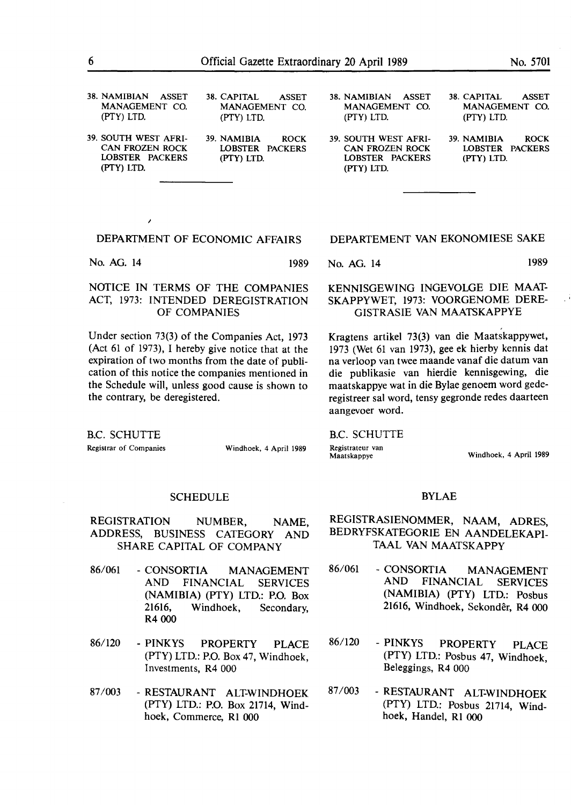| 38. NAMIBIAN ASSET<br>MANAGEMENT CO.<br>(PTY) LTD. | 38. CAPITAL<br><b>ASSET</b><br>MANAGEMENT CO.<br>$(PTY)$ LTD. | 38. NAMIBIAN ASSET<br>MANAGEMENT CO.<br>(PTY) LTD. | 38. CAPITAL<br><b>ASSET</b><br>MANAGEMENT CO.<br>(PTY) LTD. |
|----------------------------------------------------|---------------------------------------------------------------|----------------------------------------------------|-------------------------------------------------------------|
| 39. SOUTH WEST AFRI-                               | 39. NAMIBIA                                                   | 39. SOUTH WEST AFRI-                               | 39. NAMIBIA                                                 |
| <b>CAN FROZEN ROCK</b>                             | <b>ROCK</b>                                                   | <b>CAN FROZEN ROCK</b>                             | <b>ROCK</b>                                                 |
| LOBSTER PACKERS                                    | LOBSTER PACKERS                                               | LOBSTER PACKERS                                    | LOBSTER PACKERS                                             |
| (PTY) LTD.                                         | (PTY) LTD.                                                    | (PTY) LTD.                                         | (PTY) LTD.                                                  |

No. AG. 14 1989

*I* 

### NOTICE IN TERMS OF THE COMPANIES ACT, 1973: INTENDED DEREGISTRATION OF COMPANIES

Under section 73(3) of the Companies Act, 1973 (Act 61 of 1973), I hereby give notice that at the expiration of two months from the date of publication of this notice the companies mentioned in the Schedule will, unless good cause is shown to the contrary, be deregistered.

#### DEPARTEMENT VAN EKONOMIESE SAKE

No. AG. 14 1989

#### KENNISGEWING INGEVOLGE DIE MAAT-SKAPPYWET, 1973: VOORGENOME DERE-GISTRASIE VAN MAATSKAPPYE

Kragtens artikel 73(3) van die Maatskappywet, 1973 (Wet 61 van 1973), gee ek hierby kennis dat na verloop van twee maande vanaf die datum van die publikasie van hierdie kennisgewing, die maatskappye wat **in die** Bylae genoem word gederegistreer sal word, **tensy** gegronde redes daarteen aangevoer word.

B.C. SCHUTTE

Registrateur van<br>Maatskappye

B.C. SCHUTTE

Registrar of Companies Windhoek, 4 April 1989

Windhoek, 4 April 1989

#### **SCHEDULE**

- REGISTRATION NUMBER, NAME, ADDRESS, BUSINESS CATEGORY AND SHARE CAPITAL OF COMPANY
- 86/061 CONSORTIA MANAGEMENT AND FINANCIAL SERVICES (NAMIBIA) (PTY) LTD.: P.O. Box 21616, Windhoek, Secondary, **R4000**
- 86/120 **PINKYS** PROPERTY PLACE (PTY) LTD.: P.O. Box 47, Windhoek, Investments, R4 000
- 87 /003 RESTAURANT ALT-WINDHOEK (PTY) LTD.: P.O. Box 21714, Windhoek, Commerce, Rl 000

#### BYLAE

- REGISTRASIENOMMER, **NAAM,** ADRES, BEDRYFSKATEGORIE EN AANDELEKAPI-TAAL VAN MAATSKAPPY
- 86/061 CONSORTIA MANAGEMENT AND FINANCIAL SERVICES (NAMIBIA) (PTY) LTD.: Posbus 21616, Windhoek, Sekonder, R4 000
- 86/120 PINKYS PROPERTY PLACE (PTY) LTD.: Posbus 47, Windhoek, Beleggings, R4 000
- 87 /003 RESTAURANT ALT-WINDHOEK (PTY) LTD.: Posbus 21714, Windhoek, Handel, Rl 000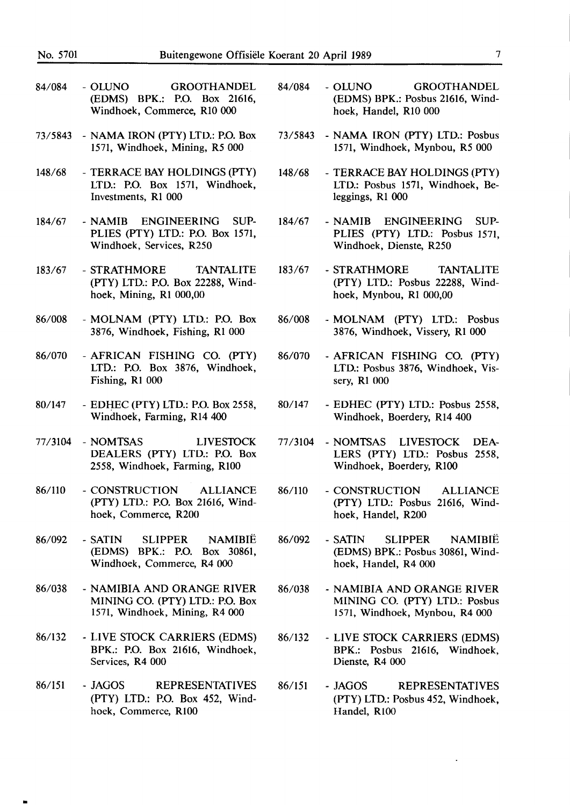- 84/084 OLUNO GROOTHANDEL (EDMS) BPK.: P.O. Box 21616, Windhoek, Commerce, RIO 000
- 73/5843 NAMA IRON (PTY) LTD.: P.O. Box 1571, Windhoek, Mining, R5 000
- 148/68 TERRACE BAY HOLDINGS (PTY) LTD.: P.O. Box 1571, Windhoek, Investments, Rl 000
- 184/67 **NAMIB** ENGINEERING SUP-PLIES (PTY) LTD.: P.O. Box 1571, Windhoek, Services, R250
- 183/67 STRATHMORE TANTALITE (PTY) LTD.: P.O. Box 22288, Windhoek, Mining, Rl 000,00
- 86/008 MOLNAM (PTY) LTD.: P.O. Box 3876, Windhoek, Fishing, Rl 000
- 86/070 AFRICAN FISHING CO. (PTY) LTD.: P.O. Box 3876, Windhoek, Fishing, Rl 000
- 80/147 EDHEC (PTY) LTD.: P.O. Box 2558, Windhoek, Farming, Rl4 400
- 77/3104 NOMTSAS LIVESTOCK DEALERS (PTY) LTD.: P.O. Box 2558, Windhoek, Farming, RlO0
- 86/110 CONSTRUCTION ALLIANCE (PTY) LTD.: P.O. Box 21616, Windhoek, Commerce, R200
- 86/092 SATIN SLIPPER NAMIBIE (EDMS) BPK.: P.O. Box 30861, Windhoek, Commerce, R4 000
- 86/038 NAMIBIA AND ORANGE RIVER MINING CO. (PTY) LTD.: P.O. Box 1571, Windhoek, Mining, R4 000
- 86/132 LIVE STOCK CARRIERS (EDMS) BPK.: P.O. Box 21616, Windhoek, Services, R4 000
- 86/151 JAGOS REPRESENTATIVES (PTY) LTD.: P.O. Box 452, Windhoek, Commerce, RlO0

•

- 84/084 OLUNO GROOTHANDEL (EDMS) BPK.: Posbus 21616, Windhoek, Handel, RIO 000
- 73/5843 NAMA IRON (PTY) LTD.: Posbus 1571, Windhoek, Mynbou, *RS* 000
- 148/68 TERRACE BAY HOLDINGS (PTY) LTD.: Posbus 1571, Windhoek, Beleggings, RI 000
- 184/67 **NAMIB** ENGINEERING SUP-PLIES (PTY) LTD.: Posbus 1571, Windhoek, Dienste, R250
- 183/67 STRATHMORE TANTALITE **(PTY)** LTD.: Posbus 22288, Windhoek, Mynbou, Rl 000,00
- 86/008 MOLNAM (PTY) LTD.: Posbus 3876, Windhoek, Vissery, RI 000
- 86/070 AFRICAN FISHING CO. (PTY) LTD.: Posbus 3876, Windhoek, Vissery, Rl 000
- 80/147 EDHEC (PTY) LTD.: Posbus 2558, Windhoek, Boerdery, Rl4 400
- 77/3104 NOMTSAS LIVESTOCK DEA-LERS (PTY) LTD.: Posbus 2558, Windhoek, Boerdery, RIOO
- 86/110 - CONSTRUCTION ALLIANCE (PTY) LTD.: Posbus 21616, Windhoek, Handel, R200
- 86/092 - SATIN SLIPPER NAMIBIË (EDMS) BPK.: Posbus 30861, Windhoek, Handel, R4 000
- 86/038 - NAMIBIA AND ORANGE RIVER MINING CO. (PTY) LTD.: Posbus 1571, Windhoek, Mynbou, R4 000
- 86/132 - LIVE STOCK CARRIERS (EDMS) BPK.: Posbus 21616, Windhoek, Dienste, R4 000
- 86/151 - JAGOS REPRESENTATIVES (PTY) LTD.: Posbus 452, Windhoek, Handel, R100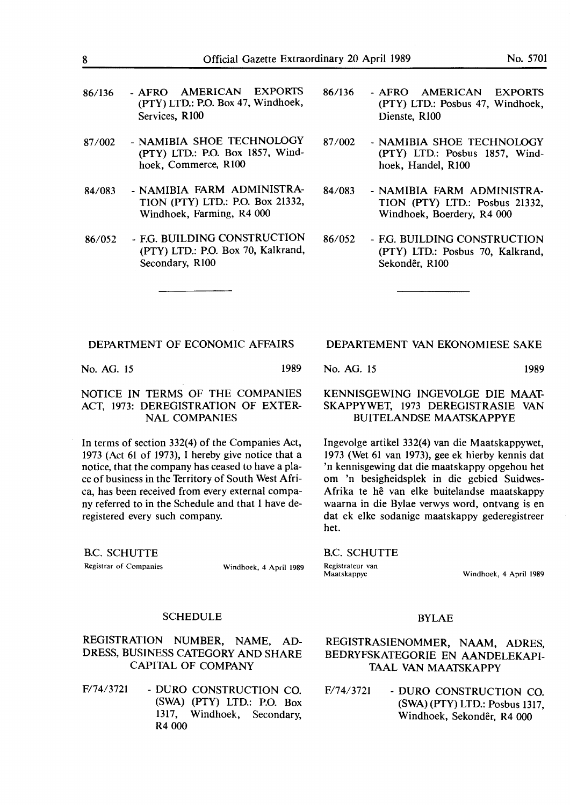| 86/136 |                | - AFRO AMERICAN EXPORTS              |  |
|--------|----------------|--------------------------------------|--|
|        |                | $(PTY)$ LTD.: P.O. Box 47, Windhoek, |  |
|        | Services, R100 |                                      |  |

- 87 /002 NAMIBIA SHOE TECHNOLOGY **(PTY)** LTD.: **P.O.** Box 1857, Windhoek, Commerce, RlOO
- 84/083 NAMIBIA FARM ADMINISTRA-TION (PTY) LTD.: P.O. Box 21332, Windhoek, Farming, R4 000
- 86/052 F.G. BUILDING CONSTRUCTION (PTY) LTD.: P.O. Box 70, Kalkrand, Secondary, **RlOO**
- 86/136 AFRO **AMERICAN** EXPORTS (PTY) LTD.: Posbus 47, Windhoek, Dienste, R100
- 87 /002 NAMIBIA SHOE TECHNOLOGY (PTY) LTD.: Posbus 1857, Windhoek, Handel, RlOO
- 84/083 NAMIBIA FARM ADMINISTRA-TION (PTY) LTD.: Posbus 21332, Windhoek, Boerdery, R4 000
- 86/052 F.G. BUILDING CONSTRUCTION (PTY) LTD.: Posbus 70, Kalkrand, Sekondêr, R100

No. AG. 15 1989

#### NOTICE **IN TERMS OF** THE **COMPANIES ACT,** 1973: **DEREGISTRATION** OF **EXTER-NAL COMPANIES**

In terms of section 332(4) of the Companies Act, 1973 (Act 61 of 1973), I hereby give notice that a notice, that the company has ceased to have a place of business in the Territory of South West Africa, has been received from every external company referred to in the Schedule and that I have deregistered every such company.

B.C. SCHUTTE

Registrar of Companies Windhoek, 4 April 1989

#### DEPARTEMENT VAN EKONOMIESE SAKE

No. AG. 15 1989

### KENNISGEWING INGEVOLGE DIE MAAT-**SKAPPYWET,** 1973 **DEREGISTRASIE VAN**  BUITELANDSE **MAATSKAPPYE**

Ingevolge artikel 332(4) van die Maatskappywet, 1973 (Wet 61 van 1973), gee ek hierby kennis dat 'n kennisgewing dat die maatskappy opgehou bet om 'n besigheidsplek in die gebied Suidwes-Afrika te he van elke buitelandse maatskappy waarna in die Bylae verwys word, ontvang is en dat ek elke sodanige maatskappy gederegistreer bet.

B.C. SCHUTTE Registrateur van<br>Maatskappye

Windhoek, 4 April 1989

### SCHEDULE

REGISTRATION NUMBER, NAME, AD-DRESS, BUSINESS CATEGORY AND SHARE CAPITAL OF COMPANY

F/74/3721 - DURO CONSTRUCTION CO. (SWA) (PTY) LTD.: P.O. Box 1317, Windhoek, Secondary, R4 000

#### BYLAE

REGISTRASIENOMMER, NAAM, ADRES, BEDRYFSKATEGORIE EN AANDELEKAPI-TAAL VAN MAATSKAPPY

F/74/3721 - DURO CONSTRUCTION CO. (SWA) (PTY) LTD.: Posbus 1317, Windhoek, Sekonder, R4 000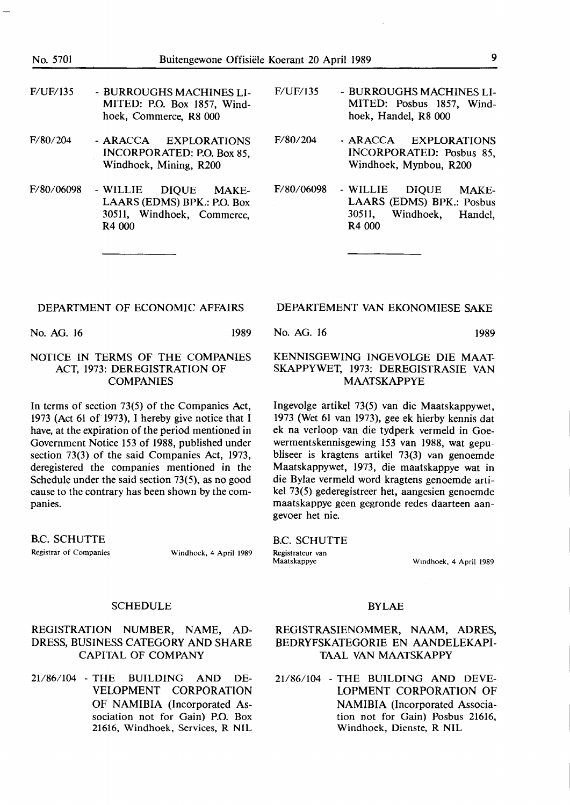- F/UF/135 BURROUGHS MACHINES LI-MITED: P.O. Box 1857, Windhoek, Commerce, **RS 000**
- F/80/204 ARACCA EXPLORATIONS INCORPORATED: P.O. Box 85, Windhoek, Mining, R200
- F/80/06098 WILLIE DIQUE MAKE-LAARS (EDMS) BPK.: P.O. Box 30511, Windhoek, Commerce, R<sub>4</sub> 000
- F/UF/135 BURROUGHS MACHINES LI-MITED: Posbus 1857, Windhoek, Handel, **RS 000**
- F/80/204 ARACCA EXPLORATIONS INCORPORATED: Posbus 85, Windhoek, Mynbou, R200
- F/80/06098 WILLIE DIQUE MAKE-LAARS (EDMS) BPK.: Posbus 30511, Windhoek, Handel, R4 000

No. AG. 16 1989

#### **NOTICE IN TERMS OF THE COMPANIES**  ACT, 1973: DEREGISTRATION OF COMPANIES

In terms of section 73(5) of the Companies Act, 1973 (Act 61 of 1973), I hereby give notice that I have, at the expiration of the period mentioned in Government Notice 153 of 1988, published under section 73(3) of the said Companies Act, 1973, deregistered the companies mentioned in the Schedule under the said section 73(5), as no good cause to the contrary has been shown by the companies.

B.C. SCHUTTE Registrar of Companies Windhoek, 4 April 1989

### DEPARTEMENT VAN EKONOMIESE SAKE

No. AG. 16 1989

#### KENNISGEWING INGEVOLGE DIE MAAT-SKAPPYWET, 1973: DEREGISTRASIE VAN MAATSKAPPYE

lngevolge artikel 73(5) van die Maatskappywet, 1973 (Wet 61 van 1973), gee ek hierby kennis dat ek na verloop van die tydperk vermeld in Goewermentskennisgewing 153 van 1988, wat gepubliseer is kragtens artikel 73(3) van genoemde Maatskappywet, 1973, die maatskappye wat in die Bylae vermeld word kragtens genoemde artikel 73(5) gederegistreer bet, aangesien genoemde maatskappye geen gegronde redes daarteen aangevoer het nie.

#### B.C. SCHUTTE

Registrateur van<br>Maatskappye

Windhoek, 4 April 1989

#### **SCHEDULE**

#### REGISTRATION NUMBER, NAME, AD-DRESS, BUSINESS CATEGORY AND SHARE CAPITAL OF COMPANY

21/86/104 - THE BUILDING AND DE-VELOPMENT CORPORATION OF NAMIBIA (Incorporated Association not for Gain) P.O. Box 21616, Windhoek, Services, R NIL

#### BYLAE

#### REGISTRASIENOMMER, NAAM, ADRES, BEDRYFSKATEGORIE EN AANDELEKAPI-TAAL VAN MAATSKAPPY

21/86/104 - THE BUILDING AND DEVE-LOPMENT CORPORATION OF NAMIBIA (Incorporated Association not for Gain) Posbus 21616, Windhoek, Dienste, R NIL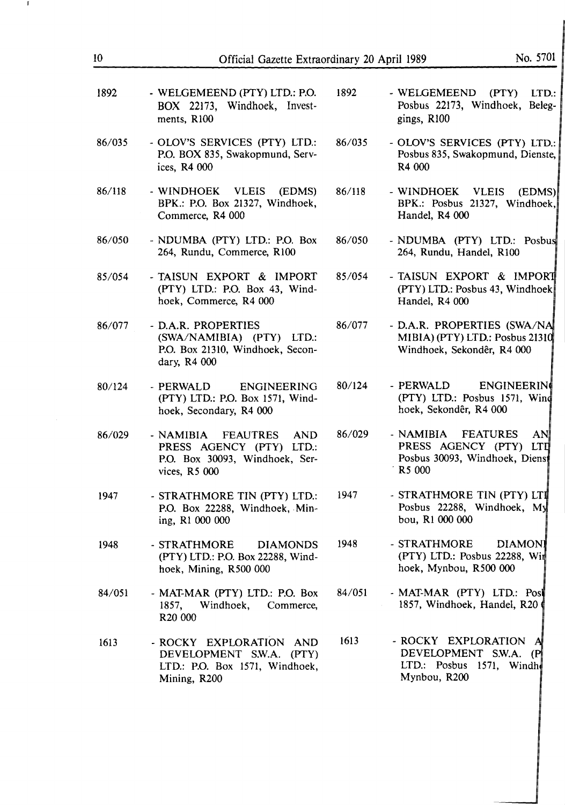| 1892   | - WELGEMEEND (PTY) LTD.: P.O.<br>BOX 22173, Windhoek, Invest-<br>ments, R100                                    | 1892   | - WELGEMEEND (PTY) LTD<br>Posbus 22173, Windhoek, Beleg<br>gings, R100                                        |
|--------|-----------------------------------------------------------------------------------------------------------------|--------|---------------------------------------------------------------------------------------------------------------|
| 86/035 | - OLOV'S SERVICES (PTY) LTD.:<br>P.O. BOX 835, Swakopmund, Serv-<br>ices, R4 000                                | 86/035 | - OLOV'S SERVICES (PTY) LTD<br>Posbus 835, Swakopmund, Dienste<br>R4 000                                      |
| 86/118 | - WINDHOEK VLEIS<br>(EDMS)<br>BPK.: P.O. Box 21327, Windhoek,<br>Commerce, R4 000                               | 86/118 | - WINDHOEK VLEIS<br>(EDMS<br>BPK.: Posbus 21327, Windhoek<br>Handel, R4 000                                   |
| 86/050 | - NDUMBA (PTY) LTD.: P.O. Box<br>264, Rundu, Commerce, R100                                                     | 86/050 | - NDUMBA (PTY) LTD.: Posbu<br>264, Rundu, Handel, R100                                                        |
| 85/054 | - TAISUN EXPORT & IMPORT<br>(PTY) LTD.: P.O. Box 43, Wind-<br>hoek, Commerce, R4 000                            | 85/054 | - TAISUN EXPORT & IMPORT<br>(PTY) LTD.: Posbus 43, Windhoek<br>Handel, R4 000                                 |
| 86/077 | - D.A.R. PROPERTIES<br>(SWA/NAMIBIA) (PTY) LTD.:<br>P.O. Box 21310, Windhoek, Secon-<br>dary, R4 000            | 86/077 | - D.A.R. PROPERTIES (SWA/NA<br>MIBIA) (PTY) LTD.: Posbus 21310<br>Windhoek, Sekondêr, R4 000                  |
| 80/124 | - PERWALD<br>ENGINEERING<br>(PTY) LTD.: P.O. Box 1571, Wind-<br>hoek, Secondary, R4 000                         | 80/124 | - PERWALD<br><b>ENGINEERING</b><br>(PTY) LTD.: Posbus 1571, Wind<br>hoek, Sekondêr, R4 000                    |
| 86/029 | - NAMIBIA FEAUTRES<br><b>AND</b><br>PRESS AGENCY (PTY) LTD.:<br>P.O. Box 30093, Windhoek, Ser-<br>vices, R5 000 | 86/029 | - NAMIBIA<br><b>FEATURES</b><br><b>AN</b><br>PRESS AGENCY (PTY) LTI<br>Posbus 30093, Windhoek, Diens<br>R5000 |
| 1947   | - STRATHMORE TIN (PTY) LTD.:<br>P.O. Box 22288, Windhoek, Min-<br>ing, R1 000 000                               | 1947   | - STRATHMORE TIN (PTY) LTI<br>Posbus 22288, Windhoek, My<br>bou, R1 000 000                                   |
| 1948   | - STRATHMORE<br><b>DIAMONDS</b><br>(PTY) LTD.: P.O. Box 22288, Wind-<br>hoek, Mining, R500 000                  | 1948   | - STRATHMORE<br><b>DIAMONI</b><br>(PTY) LTD.: Posbus 22288, Wit<br>hoek, Mynbou, R500 000                     |
| 84/051 | - MAT-MAR (PTY) LTD.: P.O. Box<br>Windhoek,<br>Commerce,<br>1857,<br>R <sub>20</sub> 000                        | 84/051 | - MAT-MAR (PTY) LTD.: Post<br>1857, Windhoek, Handel, R20                                                     |
| 1613   | - ROCKY EXPLORATION AND<br>DEVELOPMENT S.W.A. (PTY)<br>LTD.: P.O. Box 1571, Windhoek,<br>Mining, R200           | 1613   | - ROCKY EXPLORATION<br>DEVELOPMENT S.W.A. (P<br>LTD.: Posbus 1571, Windh<br>Mynbou, R200                      |

 $10\,$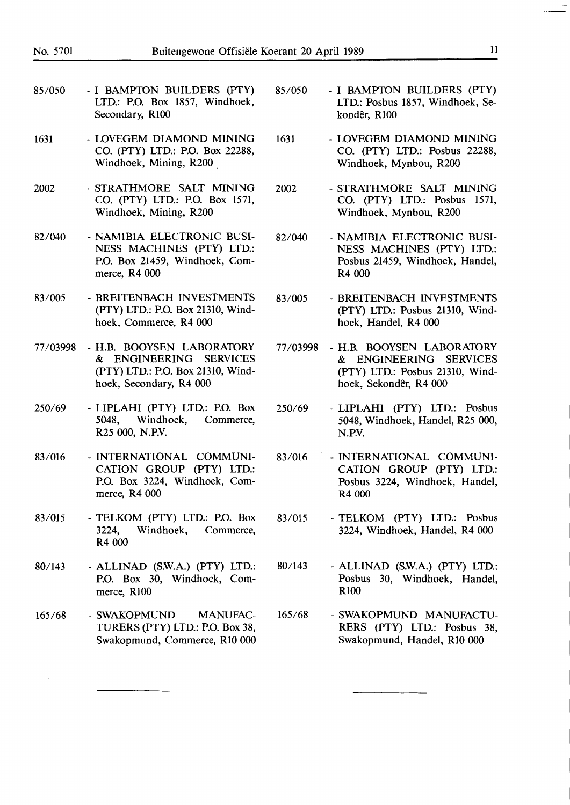| 85/050   | - I BAMPTON BUILDERS (PTY)<br>LTD.: P.O. Box 1857, Windhoek,<br>Secondary, R100                                     | 85/050   | - I BAMPTON BUILDERS (PTY)<br>LTD.: Posbus 1857, Windhoek, Se-<br>kondêr, R100                                   |
|----------|---------------------------------------------------------------------------------------------------------------------|----------|------------------------------------------------------------------------------------------------------------------|
| 1631     | - LOVEGEM DIAMOND MINING<br>CO. (PTY) LTD.: P.O. Box 22288,<br>Windhoek, Mining, R200                               | 1631     | - LOVEGEM DIAMOND MINING<br>CO. (PTY) LTD.: Posbus 22288,<br>Windhoek, Mynbou, R200                              |
| 2002     | - STRATHMORE SALT MINING<br>CO. (PTY) LTD.: P.O. Box 1571,<br>Windhoek, Mining, R200                                | 2002     | - STRATHMORE SALT MINING<br>CO. (PTY) LTD.: Posbus 1571,<br>Windhoek, Mynbou, R200                               |
| 82/040   | - NAMIBIA ELECTRONIC BUSI-<br>NESS MACHINES (PTY) LTD.:<br>P.O. Box 21459, Windhoek, Com-<br>merce, R4 000          | 82/040   | - NAMIBIA ELECTRONIC BUSI-<br>NESS MACHINES (PTY) LTD.:<br>Posbus 21459, Windhoek, Handel,<br>R4 000             |
| 83/005   | - BREITENBACH INVESTMENTS<br>(PTY) LTD.: P.O. Box 21310, Wind-<br>hoek, Commerce, R4 000                            | 83/005   | - BREITENBACH INVESTMENTS<br>(PTY) LTD.: Posbus 21310, Wind-<br>hoek, Handel, R4 000                             |
| 77/03998 | - H.B. BOOYSEN LABORATORY<br>& ENGINEERING SERVICES<br>(PTY) LTD.: P.O. Box 21310, Wind-<br>hoek, Secondary, R4 000 | 77/03998 | - H.B. BOOYSEN LABORATORY<br>& ENGINEERING SERVICES<br>(PTY) LTD.: Posbus 21310, Wind-<br>hoek, Sekondêr, R4 000 |
| 250/69   | - LIPLAHI (PTY) LTD.: P.O. Box<br>Windhoek,<br>5048,<br>Commerce,<br>R25 000, N.P.V.                                | 250/69   | - LIPLAHI (PTY) LTD.: Posbus<br>5048, Windhoek, Handel, R25 000,<br>N.P.V.                                       |
| 83/016   | - INTERNATIONAL COMMUNI-<br>CATION GROUP (PTY) LTD.:<br>P.O. Box 3224, Windhoek, Com-<br>merce, R4 000              | 83/016   | - INTERNATIONAL COMMUNI-<br>CATION GROUP (PTY) LTD.:<br>Posbus 3224, Windhoek, Handel,<br>R4 000                 |
| 83/015   | - TELKOM (PTY) LTD.: P.O. Box<br>Windhoek,<br>3224,<br>Commerce,<br>R4 000                                          | 83/015   | - TELKOM (PTY) LTD.: Posbus<br>3224, Windhoek, Handel, R4 000                                                    |

80/143 - ALLINAD (S.W.A.) (PTY) LTD.: P.O. Box 30, Windhoek, Commerce, R100

165/68 - SWAKOPMUND MANUFAC-TURERS (PTY) LTD.: P.O. Box 38, Swakopmund, Commerce, RIO 000

80/143 - ALLINAD (S.W.A.) (PTY) LTD.: Posbus 30, Windhoek, Handel, RlO0

165/68 - SWAKOPMUND MANUFACTU-RERS (PTY) LTD.: Posbus 38, Swakopmund, Handel, RIO 000

 $\ddot{\phantom{a}}$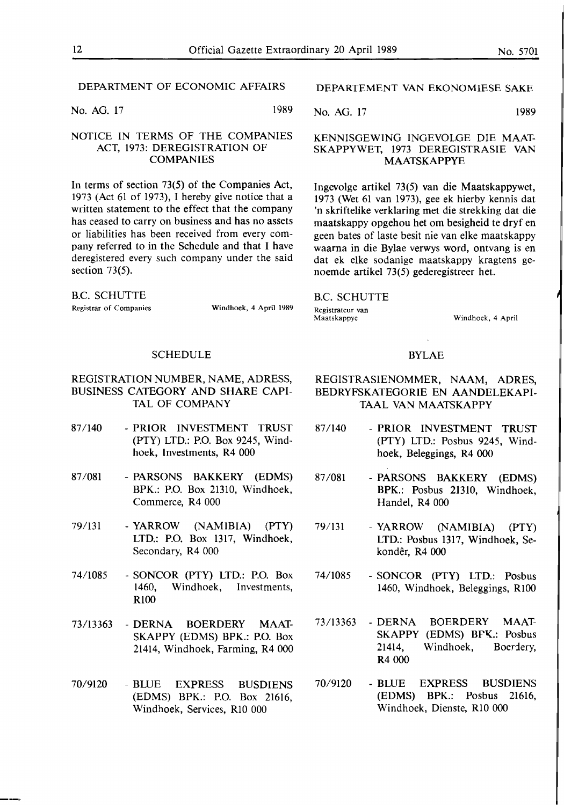No. AG. 17 1989

### NOTICE IN TERMS OF THE COMPANIES ACT, 1973: DEREGISTRATION OF COMPANIES

In terms of section 73(5) of the Companies Act, 1973 (Act 61 of 1973), I hereby give notice that a written statement to the effect that the company has ceased to carry on business and has no assets or liabilities has been received from every company referred to in the Schedule and that I have deregistered every such company under the said section 73(5).

B.C. SCHUTTE Registrar of Companies Windhoek, 4 April 1989

#### SCHEDULE

#### REGISTRATION NUMBER, NAME, ADRESS, BUSINESS CATEGORY AND SHARE CAPI-TAL OF COMPANY

- 87/140 PRIOR INVESTMENT TRUST (PTY) LTD.: P.O. Box 9245, Windhoek, Investments, R4 000
- 87 /081 PARSONS BAKKERY (EDMS) BPK.: P.O. Box 21310, Windhoek, Commerce, R4 000
- 79/131 YARROW (NAMIBIA) (PTY) LTD.: P.O. Box 1317, Windhoek, Secondary, R4 000
- 74/1085 SONCOR (PTY) LTD.: P.O. Box 1460, Windhoek, Investments, RlOO
- 73/13363 - DERNA BOERDERY MAAT-**SKAPPY** (EDMS) **BPK.:** P.O. Box 21414, Windhoek, Farming, R4 000
- 70/9120 BLUE EXPRESS BUSDIENS (EDMS) **BPK.:** P.O. Box 21616, Windhoek, Services, RIO 000

#### DEPARTEMENT VAN EKONOMIESE SAKE

No. AG. 17 1989

#### KENNISGEWING INGEVOLGE DIE MAAT-SKAPPYWET, 1973 DEREGISTRASIE VAN MAATSKAPPYE

lngevolge artikel 73(5) van die Maatskappywet, 1973 (Wet 61 van 1973), gee ek hierby kennis dat 'n skriftelike verklaring met die strekking dat die maatskappy opgehou het om besigheid te dryf en geen bates of laste besit nie van elke maatskappy waarna in die Bylae verwys word, ontvang is en dat ek elke sodanige maatskappy kragtens genoemde artikel 73(5) gederegistreer het.

B.C. SCHUTTE

Registrateur van<br>Maatskappve

Windhoek, 4 April

#### BYLAE

#### REGISTRASIENOMMER, **NAAM,** ADRES, BEDRYFSKATEGORIE EN AANDELEKAPI-**TAAL VAN MAATSKAPPY**

- 87 /140 PRIOR INVESTMENT TRUST (PTY) LTD.: Posbus 9245, Windhoek, Beleggings, R4 000
- 87 /081 PARSONS BAKKERY (EDMS) BPK.: Posbus 21310, Windhoek, Handel, R4 000
- 79/131 **YARROW (NAMIBIA) (PTY)**  LTD.: Posbus 1317, Windhoek, Sekonder, R4 000
- 74/1085 SONCOR (PTY) LTD.: Posbus 1460, Windhoek, Beleggings, RlOO
- 73/13363 - **DERNA**  SKAPPY (EDMS) BFK.: Posbus 21414, R4 000 BOERDERY MAAT- Windhoek, Boerdery,
- 70/9120 BLUE EXPRESS BUSDIENS (EDMS) BPK.: Posbus 21616, Windhoek, Dienste, RIO 000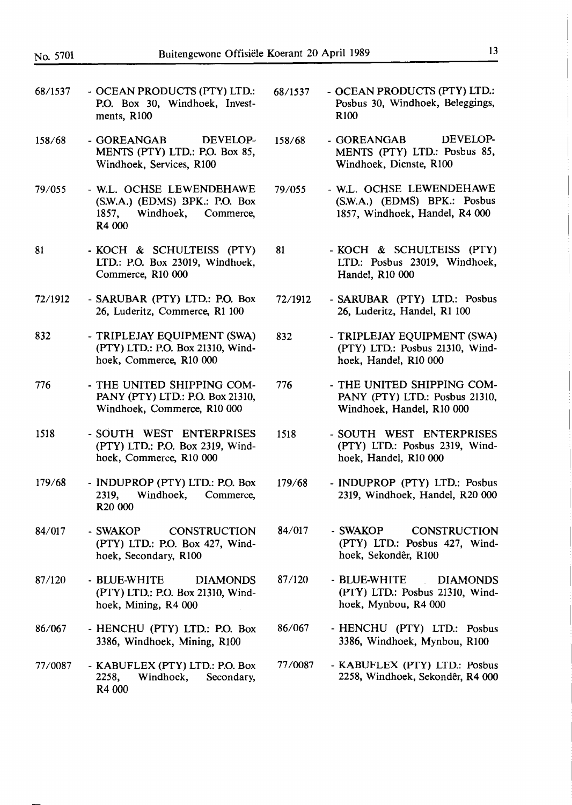- 68/1537 - OCEAN PRODUCTS (PTY) LTD.: P.O. Box 30, Windhoek, Investments, RlOO
- 158/68 - GOREANGAB DEVELOP-MENTS (PTY) LTD.: P,O. Box 85, Windhoek, Services, RlOO
- 79/055 - W.L. OCHSE LEWENDEHAWE (S.W.A.) (EDMS) BPK.: **P.O.** Box 1857, Windhoek, Commerce, R4000
- 81 - KOCH & SCHULTEISS (PTY) LTD.: P.O. Box 23019, Windhoek, Commerce, R10 000
- 72/1912 - SARUBAR (PTY) LTD.: P.O. Box 26, Luderitz, Commerce, Rl 100
- 832 - TRIPLEJAY EQUIPMENT (SWA) (PTY) LTD.: P.O. Box 21310, Windhoek, Commerce, R10 000
- 776 - THE UNITED SHIPPING COM-PANY (PTY) LTD.: P.O. Box 21310, Windhoek, Commerce, Rl0 000
- 1518 - SOUTH WEST ENTERPRISES (PTY) LTD.: P.O. Box 2319, Windhoek, Commerce, RIO 000
- 179/68 - INDUPROP (PTY) LTD.: **P.O.** Box 2319, Windhoek, Commerce, R20 000
- 84/017 -SWAKOP CONSTRUCTION (PTY) LTD.: P.O. Box 427, Windhoek, Secondary, RlOO
- 87/120 - BLUE-WHITE DIAMONDS (PTY) LTD.: **P.O.** Box 21310, Windhoek, Mining, R4 000
- 86/067 - HENCHU **(PfY)** LTD.: P.O. Box 3386, Windhoek, Mining, RlOO
- 77/0087 - KABUFLEX (PTY) LTD.: P.O. Box 2258, Windhoek, Secondary, R4 000
- 68/1537 OCEAN PRODUCTS (PTY) LTD.: Posbus 30, Windhoek, Beleggings, RlOO
- 158/68 GOREANGAB DEVELOP-MENTS (PTY) LTD.: Posbus 85, Windhoek, Dienste, RlOO
- 79/055 W.L. OCHSE LEWENDEHAWE (S.W.A.) (EDMS) BPK.: Posbus 1857, Windhoek, Handel, R4 000
- 81 KOCH & SCHULTEISS (PTY) LTD.: Posbus 23019, Windhoek, Handel, RIO 000
- 72/1912 SARUBAR (PTY) LTD.: Posbus 26, Luderitz, Handel, Rl 100
- 832 TRIPLEJAY EQUIPMENT (SWA) (PTY) LTD.: Posbus 21310, Windhoek, Handel, RIO 000
- 776 THE UNITED SHIPPING COM-PANY (PTY) LTD.: Posbus 21310, Windhoek, Handel, RIO 000
- 1518 SOUTH WEST ENTERPRISES (PTY) LTD.: Posbus 2319, Windhoek, Handel, RlO 000
- 179/68 INDUPROP **(PTY)** LTD.: Posbus 2319, Windhoek, Handel, R20 000
- 84/017 SWAKOP CONSTRUCTION (PTY) LTD.: Posbus 427, Windhoek, Sekonder, RlO0
- 87 /120 BLUE-WHITE DIAMONDS (PTY) LTD.: Posbus 21310, Windhoek, Mynbou, R4 000
- 86/067 HENCHU (PfY) LTD.: Posbus 3386, Windhoek, Mynbou, RlOO
- 77 /0087 KABUFLEX (PTY) LTD.: Posbus 2258, Windhoek, Sekonder, R4 000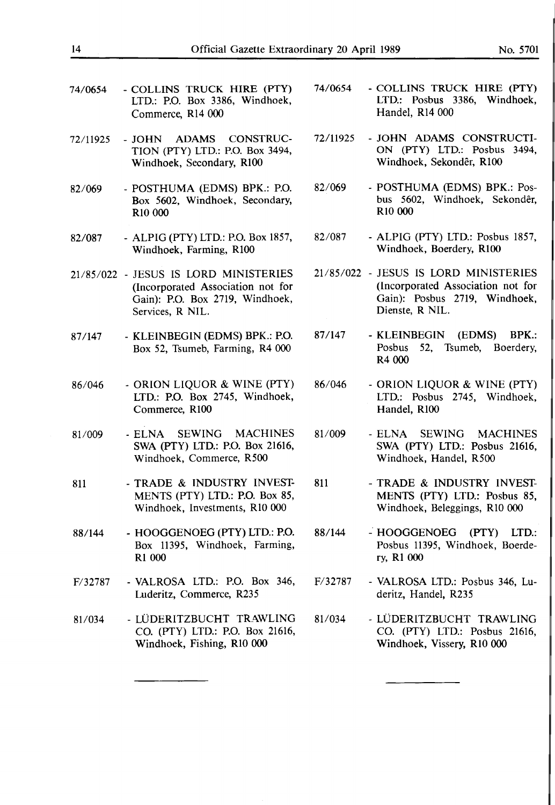- 74/0654 COLLINS TRUCK HIRE (PTY) LTD.: P.O. Box 3386, Windhoek, Commerce, Rl4 000
- 72/11925 JOHN ADAMS CONSTRUC-TION (PTY) LTD.: P.O. Box 3494, Windhoek, Secondary, RlO0
- 82/069 POSTHUMA (EDMS) BPK.: P.O. Box 5602, Windhoek, Secondary, RIO 000
- 82/087 ALPIG (P'TY) LTD.: P.O. Box 1857, Windhoek, Farming, RIO0
- 21/85/022 JESUS IS lORD MINISTERIES (Incorporated Association not for Gain): P.O. Box 2719, Windhoek, Services, R NIL.
- 87 /147 KLEINBEGIN (EDMS) BPK.: P.O. Box 52, Tsumeb, Farming, R4 000
- 86/046 ORION LIQUOR & WINE (PTY) LTD.: P.O. Box 2745, Windhoek, Commerce, RIO0
- 81/009 ELNA SEWING MACHINES SWA (PTY) LTD.: P.O. Box 21616, Windhoek, Commerce, R500
- 811 TRADE & INDUSTRY INVEST-MENTS (PTY) LTD.: P.O. Box 85, Windhoek, Investments, RIO 000
- 88/144 HOOGGENOEG (PTY) LTD.: P.O. Box 11395, Windhoek, Farming, Rl 000
- F/32787 VALROSA LTD.: P.O. Box 346, Luderitz, Commerce, R235
- 81/034 LÜDERITZBUCHT TRAWLING CO. (PTY) LTD.: P.O. Box 21616, Windhoek, Fishing, RIO 000
- 74/0654 COLLINS TRUCK HIRE (PTY) LTD.: Posbus 3386, Windhoek, Handel, Rl4 000
- 72/11925 JOHN ADAMS CONSTRUCTI-ON (PTY) LTD.: Posbus 3494, Windhoek, Sekondêr, R100
- 82/069 POSTHUMA (EDMS) BPK.: Posbus 5602, Windhoek, Sekonder, RIO 000
- 82/087 ALPIG (P'TY) LTD.: Posbus 1857, Windhoek, Boerdery, R100
- 21/85/022 JESUS IS lORD MINISTERIES (Incorporated Association not for Gain): Posbus 2719, Windhoek, Dienste, R NIL.
- 87/147 KLEINBEGIN (EDMS) BPK.: Posbus 52, Tsumeb, Boerdery, R4 000
- 86/046 ORION LIQUOR & WINE (PTY) LTD.: Posbus 2745, Windhoek, Handel, R100
- 81/009 ELNA SEWING MACHINES SWA (PTY) LTD.: Posbus 21616, Windhoek, Handel, R500
- 811 TRADE & INDUSTRY INVEST-MENTS (PTY) LTD.: Posbus 85, Windhoek, Beleggings, RIO 000
- 88/144 HOOGGENOEG (PTY) LTD.: Posbus 11395, Windhoek, Boerdery, Rl 000
- F/32787 VALROSA LTD.: Posbus 346, Luderitz, Handel, R235
- 81/034 LÜDERITZBUCHT TRAWLING CO. (PTY) LTD.: Posbus 21616, Windhoek, Vissery, RIO 000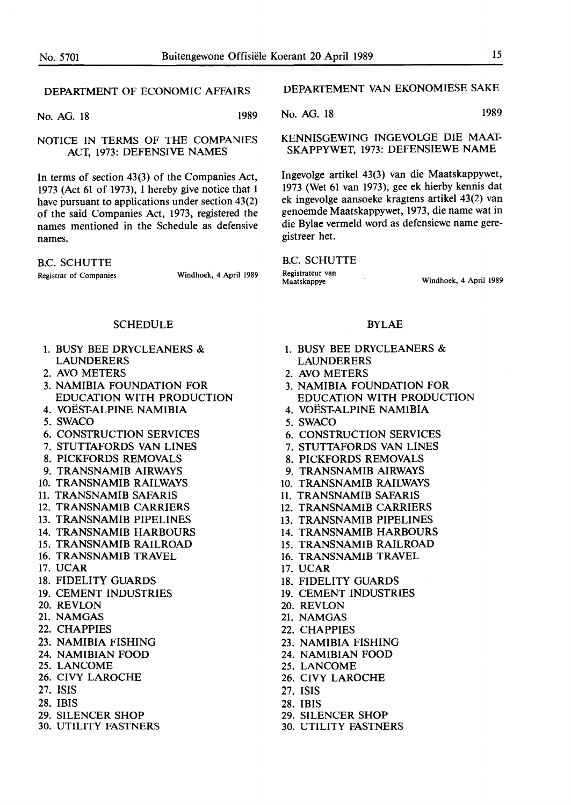No. AG. 18 1989

#### NOTICE IN TERMS OF THE **COMPANIES ACT,** 1973: DEFENSIVE **NAMES**

In terms of section 43(3) of the Companies Act, 1973 (Act 61 of 1973), I hereby give notice that I have pursuant to applications under section 43(2) of the said Companies Act, 1973, registered the names mentioned in the Schedule as defensive names.

B.C. **SCHUTTE** 

Registrar of **Companies** Windhoek, 4 April 1989

#### SCHEDULE

- 1. BUSY BEE DRYCLEANERS & LAUNDERERS
- 2. AYO METERS
- 3. **NAMIBIA** FOUNDATION FOR EDUCATION WITH PRODUCTION
- 4. YOEST-ALPINE NAMIBIA
- *5.* SWACO
- 6. CONSTRUCTION SERVICES
- 7. STUTTAFORDS VAN LINES
- 8. PICKFORDS REMOVALS
- 9. **TRANSNAMIB** AIRWAYS
- 10. **TRANSNAMIB** RAILWAYS
- 11. **TRANSNAMIB** SAFARIS
- 12. **TRANSNAMIB** CARRIERS
- 13. TRANSNAMIB PIPELINES
- 14. TRANSNAMIB HARBOURS
- 15. TRANSNAMIB RAILROAD
- 16. TRANSNAMIB TRAVEL
- 17. UCAR
- 18. FIDELITY GUARDS
- 19. CEMENT INDUSTRIES
- 20. REVLON
- 21. NAMGAS
- 22. CHAPPIES
- 23. NAMIBIA FISHING
- 24. NAMIBIAN FOOD
- 25. LANCOME
- 26. CIVY LAROCHE
- 27. ISIS
- 28. IBIS
- 29. SILENCER SHOP
- 30. UTILITY FASTNERS

DEPARTEMENT VAN EKONOMIESE SAKE

No. AG. 18 1989

KENNISGEWING INGEVOLGE DIE MAAT-**SKAPPYWET,** 1973: DEFENSIEWE NAME

lngevolge artikel 43(3) van die Maatskappywet, 1973 (Wet 61 van 1973), gee ek hierby kennis dat ek ingevolge aansoeke kragtens artikel 43(2) van genoemde Maatskappywet, 1973, die name wat in die Bylae vermeld word as defensiewe name geregistreer het.

#### B.C. SCHUTTE

Registrateur van<br>Maatskappye

Windhoek, 4 April 1989

#### BYLAE

- 1. BUSY BEE DRYCLEANERS & LAUNDERERS
- 2. AYO METERS
- 3. NAMIBIA FOUNDATION FOR EDUCATION WITH PRODUCTION
- 4. YOEST-ALPINE NAMIBIA
- *5.* SWACO
- 6. CONSTRUCTION SERVICES
- 7. STUTTAFORDS VAN LINES
- 8. PICKFORDS REMOVALS
- 9. **TRANSNAMIB** AIRWAYS
- 10. **TRANSNAMIB** RAILWAYS
- 11. **TRANSNAMIB** SAFARIS
- 12. **TRANSNAMIB** CARRIERS
- 13. TRANSNAMIB PIPELINES
- 14. TRANSNAMIB HARBOURS
- 15. TRANSNAMIB RAILROAD
- 16. TRANSNAMIB TRAVEL
- 17. UCAR
- 18. FIDELITY GUARDS
- 
- 19. CEMENT INDUSTRIES
- 20. REVLON
- 21. NAMGAS
- 22. CHAPPIES
- 23. NAMIBIA FISHING
- 24. NAMIBIAN FOOD
- 25. LANCOME
- 26. CIVY LAROCHE
- 27. ISIS
- 28. IBIS
- 29. SILENCER SHOP
- 30. UTILITY FASTNERS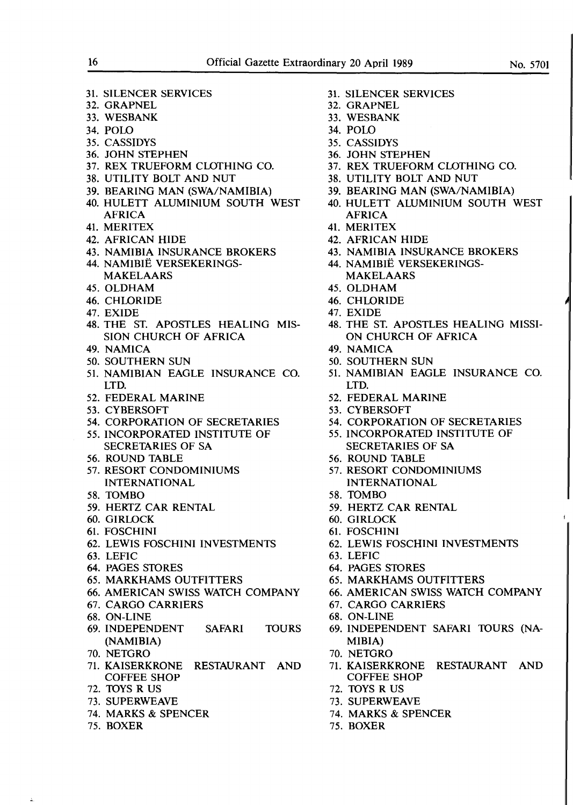31. SILENCER SERVICES 32. GRAPNEL 33. WESBANK 34. POLO 35. CASSIDYS 36. JOHN STEPHEN 37. REX TRUEFORM CLOTHING CO. 38. UTILITY BOLT AND NUT 39. BEARING MAN (SWA/NAMIBIA) 40. HULETT ALUMINIUM SOUTH WEST AFRICA 41. MERITEX 42. AFRICAN HIDE 43. **NAMIBIA** INSURANCE BROKERS 44. NAMIBIE VERSEKERINGS-MAKELAARS 45. OLDHAM 46. CHLORIDE 47. EXIDE 48. THE ST. APOSTLES HEALING MIS-SION CHURCH OF AFRICA 49. NAMICA 50. SOUTHERN SUN 51. **NAMIBIAN** EAGLE INSURANCE CO. LTD. 52. FEDERAL MARINE 53. CYBERSOFT 54. CORPORATION OF SECRETARIES *55.* INCORPORATED INSTITUTE OF SECRETARIES OF SA 56. ROUND TABLE 57. RESORT CONDOMINIUMS INTERNATIONAL 58. TOMBO 59. HERTZ CAR RENTAL 60. GIRLOCK 61. FOSCHINI 62. LEWIS FOSCHINI INVESTMENTS 63. LEFIC 64. PAGES STORES 65. MARKHAMS OUTFITTERS 66. AMERICAN SWISS WATCH COMPANY 67. CARGO CARRIERS 68. ON-LINE 69. INDEPENDENT SAFARI TOURS **(NAMIBIA)**  70. NETGRO 71. KAISERKRONE RESTAURANT AND COFFEE SHOP 72. 10YS R US 73. SUPERWEAVE 74. MARKS & SPENCER 75. BOXER

- 31. SILENCER SERVICES
- 32. GRAPNEL
- 33. WESBANK
- 34. POLO
- 35. CASSIDYS
- 36. JOHN STEPHEN
- 37. REX TRUEFORM CLOTHING CO.
- 38. UTILITY BOLT AND NUT
- 39. BEARING MAN (SWA/NAMIBIA)
- 40. HULETT ALUMINIUM SOUTH WEST **AFRICA**
- 41. MERITEX
- 42. AFRICAN HIDE
- 43. NAMIBIA INSURANCE BROKERS
- 44. NAMIBIE VERSEKERINGS-MAKELAARS
- 45. OLDHAM
- 46. CHLORIDE
- 47. EXIDE
- 48. THE ST. APOSTLES HEALING MISSI-ON CHURCH OF AFRICA
- 49. NAMICA
- 50. SOUTHERN SUN
- 51. **NAMIBIAN** EAGLE INSURANCE CO. LTD.
- 52. FEDERAL **MARINE**
- 53. CYBERSOFT
- 54. CORPORATION OF SECRETARIES
- *55.* INCORPORATED INSTITUTE OF SECRETARIES OF **SA**
- 56. ROUND TABLE
- 57. RESORT CONDOMINIUMS INTERNATIONAL
- 58. 10MBO
- 59. HERTZ CAR RENTAL
- 60. GIRLOCK
- 61. FOSCHINI
- 62. LEWIS FOSCHINI INVESTMENTS
- 63. LEFIC
- 64. PAGES STORES
- 65. MARKHAMS OUTFITTERS
- 66. AMERICAN SWISS WATCH COMPANY
- 67. CARGO CARRIERS
- 68. ON-LINE
- 69. INDEPENDENT SAFARI TOURS (NA-**MIBIA)**
- 70. NETGRO
- 71. KAISERKRONE RESTAURANT AND COFFEE SHOP
- 72. TOYS R US
- 73. SUPERWEAVE
- 74. MARKS & SPENCER
- 75. BOXER